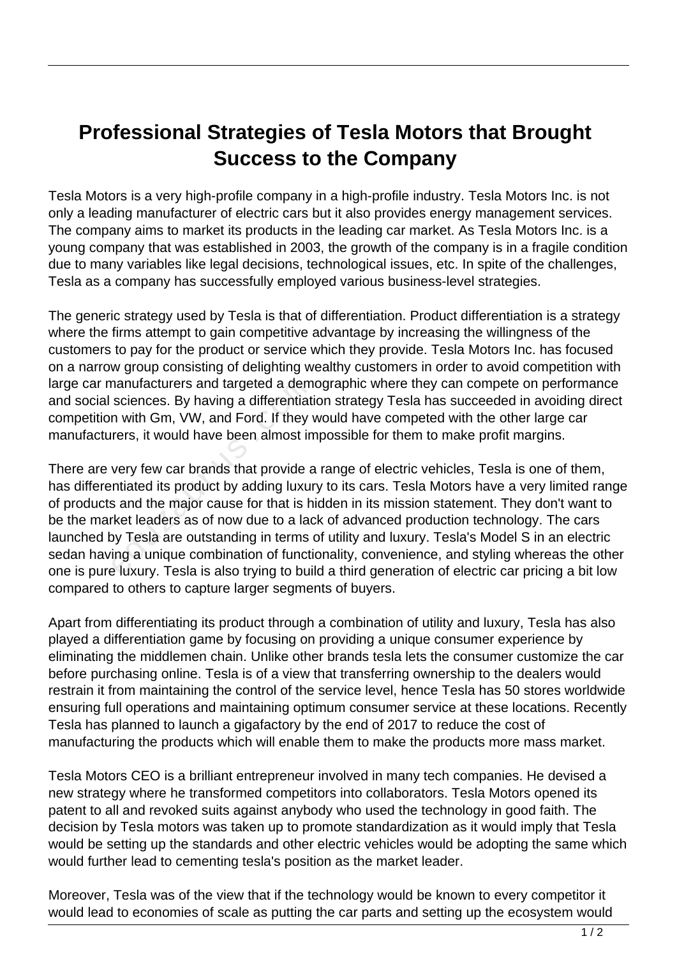## **Professional Strategies of Tesla Motors that Brought Success to the Company**

Tesla Motors is a very high-profile company in a high-profile industry. Tesla Motors Inc. is not only a leading manufacturer of electric cars but it also provides energy management services. The company aims to market its products in the leading car market. As Tesla Motors Inc. is a young company that was established in 2003, the growth of the company is in a fragile condition due to many variables like legal decisions, technological issues, etc. In spite of the challenges, Tesla as a company has successfully employed various business-level strategies.

The generic strategy used by Tesla is that of differentiation. Product differentiation is a strategy where the firms attempt to gain competitive advantage by increasing the willingness of the customers to pay for the product or service which they provide. Tesla Motors Inc. has focused on a narrow group consisting of delighting wealthy customers in order to avoid competition with large car manufacturers and targeted a demographic where they can compete on performance and social sciences. By having a differentiation strategy Tesla has succeeded in avoiding direct competition with Gm, VW, and Ford. If they would have competed with the other large car manufacturers, it would have been almost impossible for them to make profit margins.

There are very few car brands that provide a range of electric vehicles, Tesla is one of them, has differentiated its product by adding luxury to its cars. Tesla Motors have a very limited range of products and the major cause for that is hidden in its mission statement. They don't want to be the market leaders as of now due to a lack of advanced production technology. The cars launched by Tesla are outstanding in terms of utility and luxury. Tesla's Model S in an electric sedan having a unique combination of functionality, convenience, and styling whereas the other one is pure luxury. Tesla is also trying to build a third generation of electric car pricing a bit low compared to others to capture larger segments of buyers. nanufacturers and targeted a dem<br>sciences. By having a differentiatin<br>m with Gm, VW, and Ford. If they v<br>rers, it would have been almost in<br>very few car brands that provide a<br>ntiated its product by adding luxur<br>s and the m

Apart from differentiating its product through a combination of utility and luxury, Tesla has also played a differentiation game by focusing on providing a unique consumer experience by eliminating the middlemen chain. Unlike other brands tesla lets the consumer customize the car before purchasing online. Tesla is of a view that transferring ownership to the dealers would restrain it from maintaining the control of the service level, hence Tesla has 50 stores worldwide ensuring full operations and maintaining optimum consumer service at these locations. Recently Tesla has planned to launch a gigafactory by the end of 2017 to reduce the cost of manufacturing the products which will enable them to make the products more mass market.

Tesla Motors CEO is a brilliant entrepreneur involved in many tech companies. He devised a new strategy where he transformed competitors into collaborators. Tesla Motors opened its patent to all and revoked suits against anybody who used the technology in good faith. The decision by Tesla motors was taken up to promote standardization as it would imply that Tesla would be setting up the standards and other electric vehicles would be adopting the same which would further lead to cementing tesla's position as the market leader.

Moreover, Tesla was of the view that if the technology would be known to every competitor it would lead to economies of scale as putting the car parts and setting up the ecosystem would